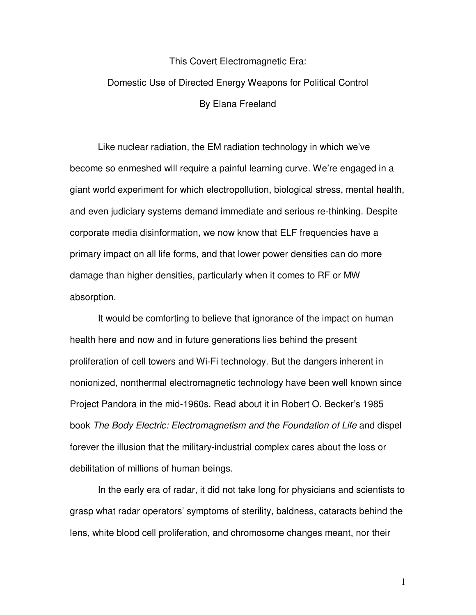### This Covert Electromagnetic Era:

# Domestic Use of Directed Energy Weapons for Political Control By Elana Freeland

 Like nuclear radiation, the EM radiation technology in which we've become so enmeshed will require a painful learning curve. We're engaged in a giant world experiment for which electropollution, biological stress, mental health, and even judiciary systems demand immediate and serious re-thinking. Despite corporate media disinformation, we now know that ELF frequencies have a primary impact on all life forms, and that lower power densities can do more damage than higher densities, particularly when it comes to RF or MW absorption.

 It would be comforting to believe that ignorance of the impact on human health here and now and in future generations lies behind the present proliferation of cell towers and Wi-Fi technology. But the dangers inherent in nonionized, nonthermal electromagnetic technology have been well known since Project Pandora in the mid-1960s. Read about it in Robert O. Becker's 1985 book *The Body Electric: Electromagnetism and the Foundation of Life* and dispel forever the illusion that the military-industrial complex cares about the loss or debilitation of millions of human beings.

 In the early era of radar, it did not take long for physicians and scientists to grasp what radar operators' symptoms of sterility, baldness, cataracts behind the lens, white blood cell proliferation, and chromosome changes meant, nor their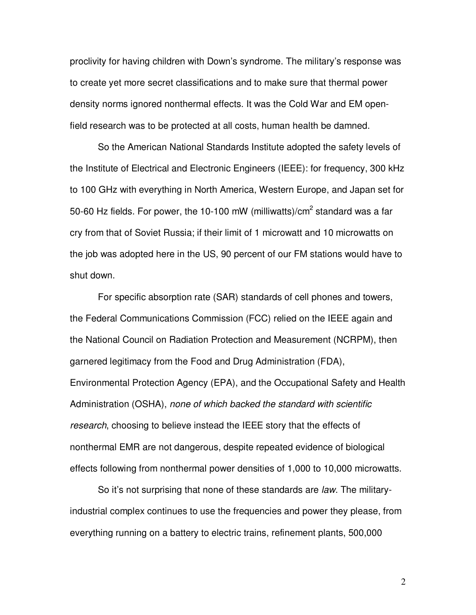proclivity for having children with Down's syndrome. The military's response was to create yet more secret classifications and to make sure that thermal power density norms ignored nonthermal effects. It was the Cold War and EM openfield research was to be protected at all costs, human health be damned.

 So the American National Standards Institute adopted the safety levels of the Institute of Electrical and Electronic Engineers (IEEE): for frequency, 300 kHz to 100 GHz with everything in North America, Western Europe, and Japan set for 50-60 Hz fields. For power, the 10-100 mW (milliwatts)/cm<sup>2</sup> standard was a far cry from that of Soviet Russia; if their limit of 1 microwatt and 10 microwatts on the job was adopted here in the US, 90 percent of our FM stations would have to shut down.

 For specific absorption rate (SAR) standards of cell phones and towers, the Federal Communications Commission (FCC) relied on the IEEE again and the National Council on Radiation Protection and Measurement (NCRPM), then garnered legitimacy from the Food and Drug Administration (FDA), Environmental Protection Agency (EPA), and the Occupational Safety and Health Administration (OSHA), *none of which backed the standard with scientific research*, choosing to believe instead the IEEE story that the effects of nonthermal EMR are not dangerous, despite repeated evidence of biological effects following from nonthermal power densities of 1,000 to 10,000 microwatts.

 So it's not surprising that none of these standards are *law*. The militaryindustrial complex continues to use the frequencies and power they please, from everything running on a battery to electric trains, refinement plants, 500,000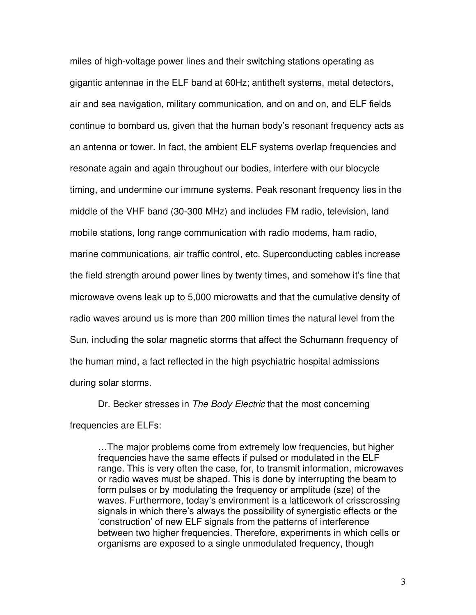miles of high-voltage power lines and their switching stations operating as gigantic antennae in the ELF band at 60Hz; antitheft systems, metal detectors, air and sea navigation, military communication, and on and on, and ELF fields continue to bombard us, given that the human body's resonant frequency acts as an antenna or tower. In fact, the ambient ELF systems overlap frequencies and resonate again and again throughout our bodies, interfere with our biocycle timing, and undermine our immune systems. Peak resonant frequency lies in the middle of the VHF band (30-300 MHz) and includes FM radio, television, land mobile stations, long range communication with radio modems, ham radio, marine communications, air traffic control, etc. Superconducting cables increase the field strength around power lines by twenty times, and somehow it's fine that microwave ovens leak up to 5,000 microwatts and that the cumulative density of radio waves around us is more than 200 million times the natural level from the Sun, including the solar magnetic storms that affect the Schumann frequency of the human mind, a fact reflected in the high psychiatric hospital admissions during solar storms.

 Dr. Becker stresses in *The Body Electric* that the most concerning frequencies are ELFs:

…The major problems come from extremely low frequencies, but higher frequencies have the same effects if pulsed or modulated in the ELF range. This is very often the case, for, to transmit information, microwaves or radio waves must be shaped. This is done by interrupting the beam to form pulses or by modulating the frequency or amplitude (sze) of the waves. Furthermore, today's environment is a latticework of crisscrossing signals in which there's always the possibility of synergistic effects or the 'construction' of new ELF signals from the patterns of interference between two higher frequencies. Therefore, experiments in which cells or organisms are exposed to a single unmodulated frequency, though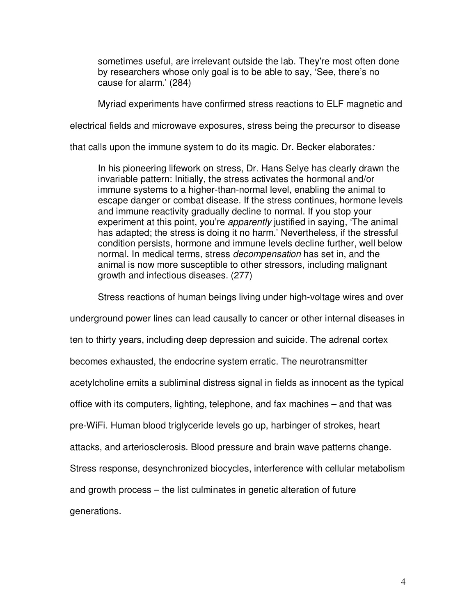sometimes useful, are irrelevant outside the lab. They're most often done by researchers whose only goal is to be able to say, 'See, there's no cause for alarm.' (284)

Myriad experiments have confirmed stress reactions to ELF magnetic and

electrical fields and microwave exposures, stress being the precursor to disease

that calls upon the immune system to do its magic. Dr. Becker elaborates*:* 

In his pioneering lifework on stress, Dr. Hans Selye has clearly drawn the invariable pattern: Initially, the stress activates the hormonal and/or immune systems to a higher-than-normal level, enabling the animal to escape danger or combat disease. If the stress continues, hormone levels and immune reactivity gradually decline to normal. If you stop your experiment at this point, you're *apparently* justified in saying, 'The animal has adapted; the stress is doing it no harm.' Nevertheless, if the stressful condition persists, hormone and immune levels decline further, well below normal. In medical terms, stress *decompensation* has set in, and the animal is now more susceptible to other stressors, including malignant growth and infectious diseases. (277)

Stress reactions of human beings living under high-voltage wires and over

underground power lines can lead causally to cancer or other internal diseases in

ten to thirty years, including deep depression and suicide. The adrenal cortex

becomes exhausted, the endocrine system erratic. The neurotransmitter

acetylcholine emits a subliminal distress signal in fields as innocent as the typical

office with its computers, lighting, telephone, and fax machines – and that was

pre-WiFi. Human blood triglyceride levels go up, harbinger of strokes, heart

attacks, and arteriosclerosis. Blood pressure and brain wave patterns change.

Stress response, desynchronized biocycles, interference with cellular metabolism

and growth process – the list culminates in genetic alteration of future

generations.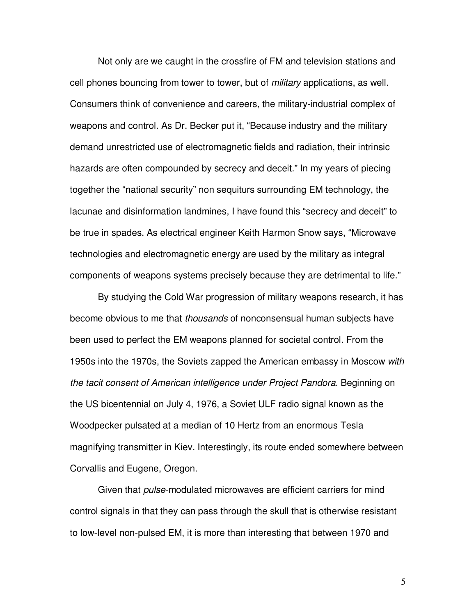Not only are we caught in the crossfire of FM and television stations and cell phones bouncing from tower to tower, but of *military* applications, as well. Consumers think of convenience and careers, the military-industrial complex of weapons and control. As Dr. Becker put it, "Because industry and the military demand unrestricted use of electromagnetic fields and radiation, their intrinsic hazards are often compounded by secrecy and deceit." In my years of piecing together the "national security" non sequiturs surrounding EM technology, the lacunae and disinformation landmines, I have found this "secrecy and deceit" to be true in spades. As electrical engineer Keith Harmon Snow says, "Microwave technologies and electromagnetic energy are used by the military as integral components of weapons systems precisely because they are detrimental to life."

 By studying the Cold War progression of military weapons research, it has become obvious to me that *thousands* of nonconsensual human subjects have been used to perfect the EM weapons planned for societal control. From the 1950s into the 1970s, the Soviets zapped the American embassy in Moscow *with the tacit consent of American intelligence under Project Pandora*. Beginning on the US bicentennial on July 4, 1976, a Soviet ULF radio signal known as the Woodpecker pulsated at a median of 10 Hertz from an enormous Tesla magnifying transmitter in Kiev. Interestingly, its route ended somewhere between Corvallis and Eugene, Oregon.

 Given that *pulse*-modulated microwaves are efficient carriers for mind control signals in that they can pass through the skull that is otherwise resistant to low-level non-pulsed EM, it is more than interesting that between 1970 and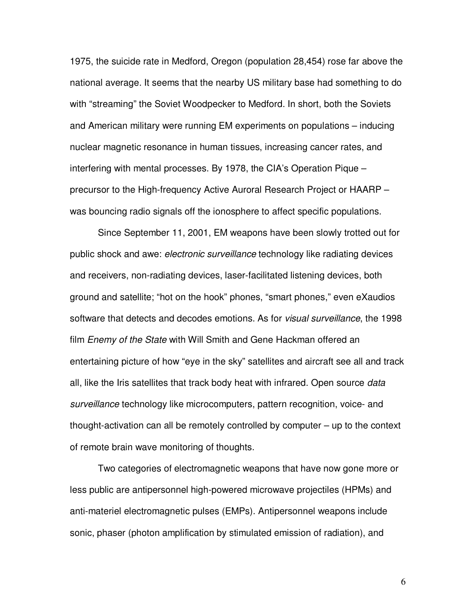1975, the suicide rate in Medford, Oregon (population 28,454) rose far above the national average. It seems that the nearby US military base had something to do with "streaming" the Soviet Woodpecker to Medford. In short, both the Soviets and American military were running EM experiments on populations – inducing nuclear magnetic resonance in human tissues, increasing cancer rates, and interfering with mental processes. By 1978, the CIA's Operation Pique – precursor to the High-frequency Active Auroral Research Project or HAARP – was bouncing radio signals off the ionosphere to affect specific populations.

 Since September 11, 2001, EM weapons have been slowly trotted out for public shock and awe: *electronic surveillance* technology like radiating devices and receivers, non-radiating devices, laser-facilitated listening devices, both ground and satellite; "hot on the hook" phones, "smart phones," even eXaudios software that detects and decodes emotions. As for *visual surveillance*, the 1998 film *Enemy of the State* with Will Smith and Gene Hackman offered an entertaining picture of how "eye in the sky" satellites and aircraft see all and track all, like the Iris satellites that track body heat with infrared. Open source *data surveillance* technology like microcomputers, pattern recognition, voice- and thought-activation can all be remotely controlled by computer – up to the context of remote brain wave monitoring of thoughts.

 Two categories of electromagnetic weapons that have now gone more or less public are antipersonnel high-powered microwave projectiles (HPMs) and anti-materiel electromagnetic pulses (EMPs). Antipersonnel weapons include sonic, phaser (photon amplification by stimulated emission of radiation), and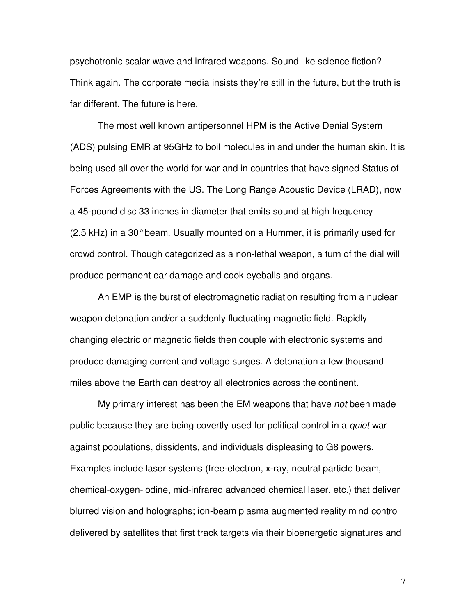psychotronic scalar wave and infrared weapons. Sound like science fiction? Think again. The corporate media insists they're still in the future, but the truth is far different. The future is here.

 The most well known antipersonnel HPM is the Active Denial System (ADS) pulsing EMR at 95GHz to boil molecules in and under the human skin. It is being used all over the world for war and in countries that have signed Status of Forces Agreements with the US. The Long Range Acoustic Device (LRAD), now a 45-pound disc 33 inches in diameter that emits sound at high frequency (2.5 kHz) in a 30° beam. Usually mounted on a Hummer, it is primarily used for crowd control. Though categorized as a non-lethal weapon, a turn of the dial will produce permanent ear damage and cook eyeballs and organs.

 An EMP is the burst of electromagnetic radiation resulting from a nuclear weapon detonation and/or a suddenly fluctuating magnetic field. Rapidly changing electric or magnetic fields then couple with electronic systems and produce damaging current and voltage surges. A detonation a few thousand miles above the Earth can destroy all electronics across the continent.

 My primary interest has been the EM weapons that have *not* been made public because they are being covertly used for political control in a *quiet* war against populations, dissidents, and individuals displeasing to G8 powers. Examples include laser systems (free-electron, x-ray, neutral particle beam, chemical-oxygen-iodine, mid-infrared advanced chemical laser, etc.) that deliver blurred vision and holographs; ion-beam plasma augmented reality mind control delivered by satellites that first track targets via their bioenergetic signatures and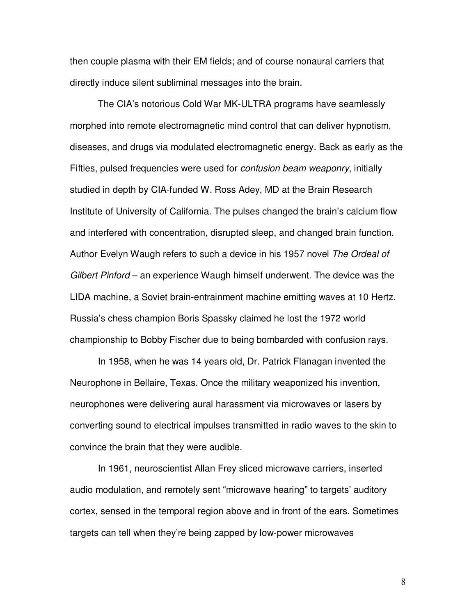then couple plasma with their EM fields; and of course nonaural carriers that directly induce silent subliminal messages into the brain.

 The CIA's notorious Cold War MK-ULTRA programs have seamlessly morphed into remote electromagnetic mind control that can deliver hypnotism, diseases, and drugs via modulated electromagnetic energy. Back as early as the Fifties, pulsed frequencies were used for *confusion beam weaponry*, initially studied in depth by CIA-funded W. Ross Adey, MD at the Brain Research Institute of University of California. The pulses changed the brain's calcium flow and interfered with concentration, disrupted sleep, and changed brain function. Author Evelyn Waugh refers to such a device in his 1957 novel *The Ordeal of Gilbert Pinford* – an experience Waugh himself underwent. The device was the LIDA machine, a Soviet brain-entrainment machine emitting waves at 10 Hertz. Russia's chess champion Boris Spassky claimed he lost the 1972 world championship to Bobby Fischer due to being bombarded with confusion rays.

 In 1958, when he was 14 years old, Dr. Patrick Flanagan invented the Neurophone in Bellaire, Texas. Once the military weaponized his invention, neurophones were delivering aural harassment via microwaves or lasers by converting sound to electrical impulses transmitted in radio waves to the skin to convince the brain that they were audible.

 In 1961, neuroscientist Allan Frey sliced microwave carriers, inserted audio modulation, and remotely sent "microwave hearing" to targets' auditory cortex, sensed in the temporal region above and in front of the ears. Sometimes targets can tell when they're being zapped by low-power microwaves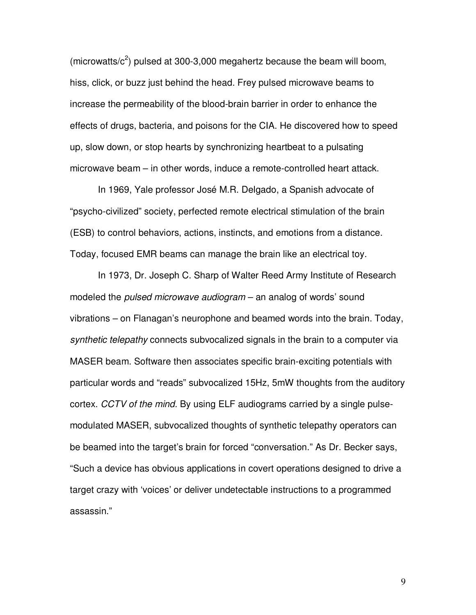(microwatts/ $c^2$ ) pulsed at 300-3,000 megahertz because the beam will boom, hiss, click, or buzz just behind the head. Frey pulsed microwave beams to increase the permeability of the blood-brain barrier in order to enhance the effects of drugs, bacteria, and poisons for the CIA. He discovered how to speed up, slow down, or stop hearts by synchronizing heartbeat to a pulsating microwave beam – in other words, induce a remote-controlled heart attack.

 In 1969, Yale professor José M.R. Delgado, a Spanish advocate of "psycho-civilized" society, perfected remote electrical stimulation of the brain (ESB) to control behaviors, actions, instincts, and emotions from a distance. Today, focused EMR beams can manage the brain like an electrical toy.

 In 1973, Dr. Joseph C. Sharp of Walter Reed Army Institute of Research modeled the *pulsed microwave audiogram* – an analog of words' sound vibrations – on Flanagan's neurophone and beamed words into the brain. Today, *synthetic telepathy* connects subvocalized signals in the brain to a computer via MASER beam. Software then associates specific brain-exciting potentials with particular words and "reads" subvocalized 15Hz, 5mW thoughts from the auditory cortex. *CCTV of the mind.* By using ELF audiograms carried by a single pulsemodulated MASER, subvocalized thoughts of synthetic telepathy operators can be beamed into the target's brain for forced "conversation." As Dr. Becker says, "Such a device has obvious applications in covert operations designed to drive a target crazy with 'voices' or deliver undetectable instructions to a programmed assassin."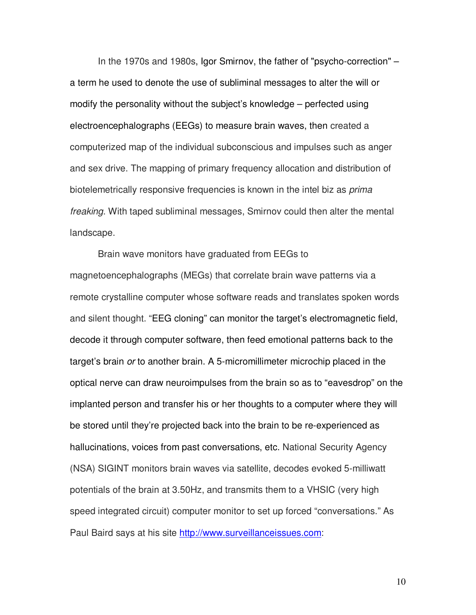In the 1970s and 1980s, Igor Smirnov, the father of "psycho-correction" – a term he used to denote the use of subliminal messages to alter the will or modify the personality without the subject's knowledge – perfected using electroencephalographs (EEGs) to measure brain waves, then created a computerized map of the individual subconscious and impulses such as anger and sex drive. The mapping of primary frequency allocation and distribution of biotelemetrically responsive frequencies is known in the intel biz as *prima freaking*. With taped subliminal messages, Smirnov could then alter the mental landscape.

 Brain wave monitors have graduated from EEGs to magnetoencephalographs (MEGs) that correlate brain wave patterns via a remote crystalline computer whose software reads and translates spoken words and silent thought. "EEG cloning" can monitor the target's electromagnetic field, decode it through computer software, then feed emotional patterns back to the target's brain *or* to another brain. A 5-micromillimeter microchip placed in the optical nerve can draw neuroimpulses from the brain so as to "eavesdrop" on the implanted person and transfer his or her thoughts to a computer where they will be stored until they're projected back into the brain to be re-experienced as hallucinations, voices from past conversations, etc. National Security Agency (NSA) SIGINT monitors brain waves via satellite, decodes evoked 5-milliwatt potentials of the brain at 3.50Hz, and transmits them to a VHSIC (very high speed integrated circuit) computer monitor to set up forced "conversations." As Paul Baird says at his site http://www.surveillanceissues.com: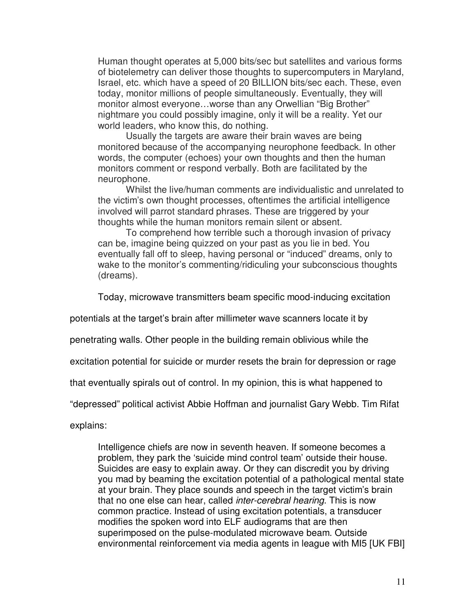Human thought operates at 5,000 bits/sec but satellites and various forms of biotelemetry can deliver those thoughts to supercomputers in Maryland, Israel, etc. which have a speed of 20 BILLION bits/sec each. These, even today, monitor millions of people simultaneously. Eventually, they will monitor almost everyone…worse than any Orwellian "Big Brother" nightmare you could possibly imagine, only it will be a reality. Yet our world leaders, who know this, do nothing.

 Usually the targets are aware their brain waves are being monitored because of the accompanying neurophone feedback. In other words, the computer (echoes) your own thoughts and then the human monitors comment or respond verbally. Both are facilitated by the neurophone.

 Whilst the live/human comments are individualistic and unrelated to the victim's own thought processes, oftentimes the artificial intelligence involved will parrot standard phrases. These are triggered by your thoughts while the human monitors remain silent or absent.

 To comprehend how terrible such a thorough invasion of privacy can be, imagine being quizzed on your past as you lie in bed. You eventually fall off to sleep, having personal or "induced" dreams, only to wake to the monitor's commenting/ridiculing your subconscious thoughts (dreams).

Today, microwave transmitters beam specific mood-inducing excitation

potentials at the target's brain after millimeter wave scanners locate it by

penetrating walls. Other people in the building remain oblivious while the

excitation potential for suicide or murder resets the brain for depression or rage

that eventually spirals out of control. In my opinion, this is what happened to

"depressed" political activist Abbie Hoffman and journalist Gary Webb. Tim Rifat

explains:

Intelligence chiefs are now in seventh heaven. If someone becomes a problem, they park the 'suicide mind control team' outside their house. Suicides are easy to explain away. Or they can discredit you by driving you mad by beaming the excitation potential of a pathological mental state at your brain. They place sounds and speech in the target victim's brain that no one else can hear, called *inter-cerebral hearing*. This is now common practice. Instead of using excitation potentials, a transducer modifies the spoken word into ELF audiograms that are then superimposed on the pulse-modulated microwave beam. Outside environmental reinforcement via media agents in league with MI5 [UK FBI]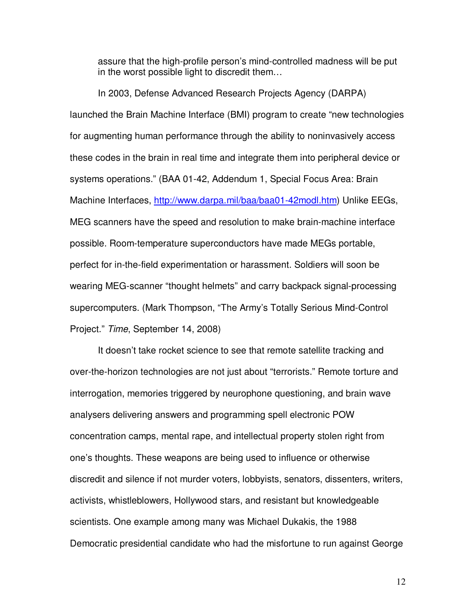assure that the high-profile person's mind-controlled madness will be put in the worst possible light to discredit them…

 In 2003, Defense Advanced Research Projects Agency (DARPA) launched the Brain Machine Interface (BMI) program to create "new technologies for augmenting human performance through the ability to noninvasively access these codes in the brain in real time and integrate them into peripheral device or systems operations." (BAA 01-42, Addendum 1, Special Focus Area: Brain Machine Interfaces, http://www.darpa.mil/baa/baa01-42modl.htm) Unlike EEGs, MEG scanners have the speed and resolution to make brain-machine interface possible. Room-temperature superconductors have made MEGs portable, perfect for in-the-field experimentation or harassment. Soldiers will soon be wearing MEG-scanner "thought helmets" and carry backpack signal-processing supercomputers. (Mark Thompson, "The Army's Totally Serious Mind-Control Project." *Time*, September 14, 2008)

 It doesn't take rocket science to see that remote satellite tracking and over-the-horizon technologies are not just about "terrorists." Remote torture and interrogation, memories triggered by neurophone questioning, and brain wave analysers delivering answers and programming spell electronic POW concentration camps, mental rape, and intellectual property stolen right from one's thoughts. These weapons are being used to influence or otherwise discredit and silence if not murder voters, lobbyists, senators, dissenters, writers, activists, whistleblowers, Hollywood stars, and resistant but knowledgeable scientists. One example among many was Michael Dukakis, the 1988 Democratic presidential candidate who had the misfortune to run against George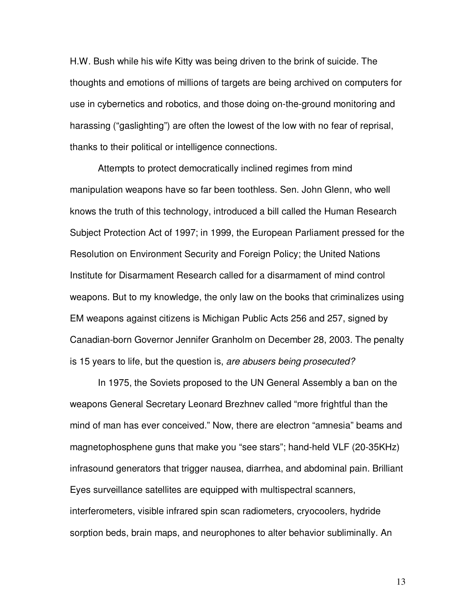H.W. Bush while his wife Kitty was being driven to the brink of suicide. The thoughts and emotions of millions of targets are being archived on computers for use in cybernetics and robotics, and those doing on-the-ground monitoring and harassing ("gaslighting") are often the lowest of the low with no fear of reprisal, thanks to their political or intelligence connections.

 Attempts to protect democratically inclined regimes from mind manipulation weapons have so far been toothless. Sen. John Glenn, who well knows the truth of this technology, introduced a bill called the Human Research Subject Protection Act of 1997; in 1999, the European Parliament pressed for the Resolution on Environment Security and Foreign Policy; the United Nations Institute for Disarmament Research called for a disarmament of mind control weapons. But to my knowledge, the only law on the books that criminalizes using EM weapons against citizens is Michigan Public Acts 256 and 257, signed by Canadian-born Governor Jennifer Granholm on December 28, 2003. The penalty is 15 years to life, but the question is, *are abusers being prosecuted?*

 In 1975, the Soviets proposed to the UN General Assembly a ban on the weapons General Secretary Leonard Brezhnev called "more frightful than the mind of man has ever conceived." Now, there are electron "amnesia" beams and magnetophosphene guns that make you "see stars"; hand-held VLF (20-35KHz) infrasound generators that trigger nausea, diarrhea, and abdominal pain. Brilliant Eyes surveillance satellites are equipped with multispectral scanners, interferometers, visible infrared spin scan radiometers, cryocoolers, hydride sorption beds, brain maps, and neurophones to alter behavior subliminally. An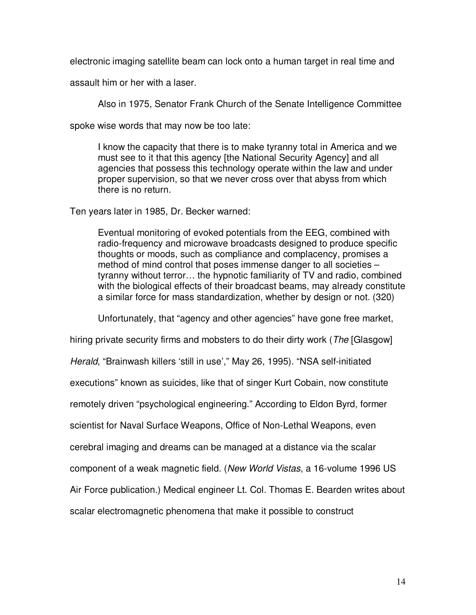electronic imaging satellite beam can lock onto a human target in real time and

assault him or her with a laser.

Also in 1975, Senator Frank Church of the Senate Intelligence Committee

spoke wise words that may now be too late:

I know the capacity that there is to make tyranny total in America and we must see to it that this agency [the National Security Agency] and all agencies that possess this technology operate within the law and under proper supervision, so that we never cross over that abyss from which there is no return.

Ten years later in 1985, Dr. Becker warned:

Eventual monitoring of evoked potentials from the EEG, combined with radio-frequency and microwave broadcasts designed to produce specific thoughts or moods, such as compliance and complacency, promises a method of mind control that poses immense danger to all societies – tyranny without terror… the hypnotic familiarity of TV and radio, combined with the biological effects of their broadcast beams, may already constitute a similar force for mass standardization, whether by design or not. (320)

Unfortunately, that "agency and other agencies" have gone free market,

hiring private security firms and mobsters to do their dirty work (*The* [Glasgow] *Herald*, "Brainwash killers 'still in use'," May 26, 1995). "NSA self-initiated executions" known as suicides, like that of singer Kurt Cobain, now constitute remotely driven "psychological engineering." According to Eldon Byrd, former scientist for Naval Surface Weapons, Office of Non-Lethal Weapons, even cerebral imaging and dreams can be managed at a distance via the scalar component of a weak magnetic field. (*New World Vistas*, a 16-volume 1996 US Air Force publication.) Medical engineer Lt. Col. Thomas E. Bearden writes about scalar electromagnetic phenomena that make it possible to construct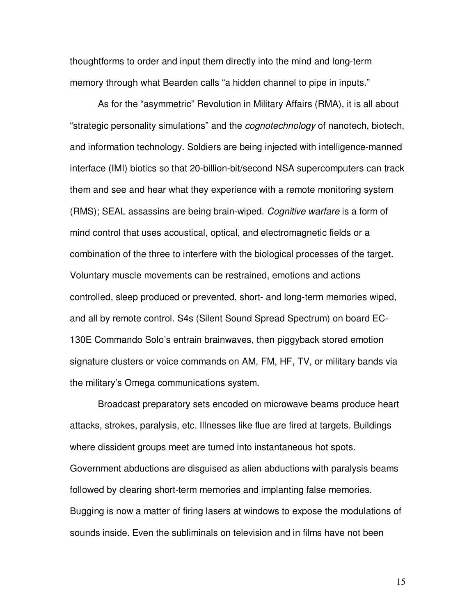thoughtforms to order and input them directly into the mind and long-term memory through what Bearden calls "a hidden channel to pipe in inputs."

 As for the "asymmetric" Revolution in Military Affairs (RMA), it is all about "strategic personality simulations" and the *cognotechnology* of nanotech, biotech, and information technology. Soldiers are being injected with intelligence-manned interface (IMI) biotics so that 20-billion-bit/second NSA supercomputers can track them and see and hear what they experience with a remote monitoring system (RMS); SEAL assassins are being brain-wiped. *Cognitive warfare* is a form of mind control that uses acoustical, optical, and electromagnetic fields or a combination of the three to interfere with the biological processes of the target. Voluntary muscle movements can be restrained, emotions and actions controlled, sleep produced or prevented, short- and long-term memories wiped, and all by remote control. S4s (Silent Sound Spread Spectrum) on board EC-130E Commando Solo's entrain brainwaves, then piggyback stored emotion signature clusters or voice commands on AM, FM, HF, TV, or military bands via the military's Omega communications system.

 Broadcast preparatory sets encoded on microwave beams produce heart attacks, strokes, paralysis, etc. Illnesses like flue are fired at targets. Buildings where dissident groups meet are turned into instantaneous hot spots. Government abductions are disguised as alien abductions with paralysis beams followed by clearing short-term memories and implanting false memories. Bugging is now a matter of firing lasers at windows to expose the modulations of sounds inside. Even the subliminals on television and in films have not been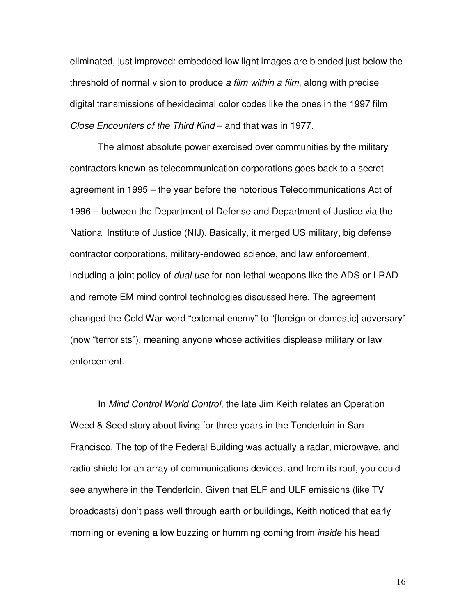eliminated, just improved: embedded low light images are blended just below the threshold of normal vision to produce *a film within a film*, along with precise digital transmissions of hexidecimal color codes like the ones in the 1997 film *Close Encounters of the Third Kind* – and that was in 1977.

 The almost absolute power exercised over communities by the military contractors known as telecommunication corporations goes back to a secret agreement in 1995 – the year before the notorious Telecommunications Act of 1996 – between the Department of Defense and Department of Justice via the National Institute of Justice (NIJ). Basically, it merged US military, big defense contractor corporations, military-endowed science, and law enforcement, including a joint policy of *dual use* for non-lethal weapons like the ADS or LRAD and remote EM mind control technologies discussed here. The agreement changed the Cold War word "external enemy" to "[foreign or domestic] adversary" (now "terrorists"), meaning anyone whose activities displease military or law enforcement.

 In *Mind Control World Control*, the late Jim Keith relates an Operation Weed & Seed story about living for three years in the Tenderloin in San Francisco. The top of the Federal Building was actually a radar, microwave, and radio shield for an array of communications devices, and from its roof, you could see anywhere in the Tenderloin. Given that ELF and ULF emissions (like TV broadcasts) don't pass well through earth or buildings, Keith noticed that early morning or evening a low buzzing or humming coming from *inside* his head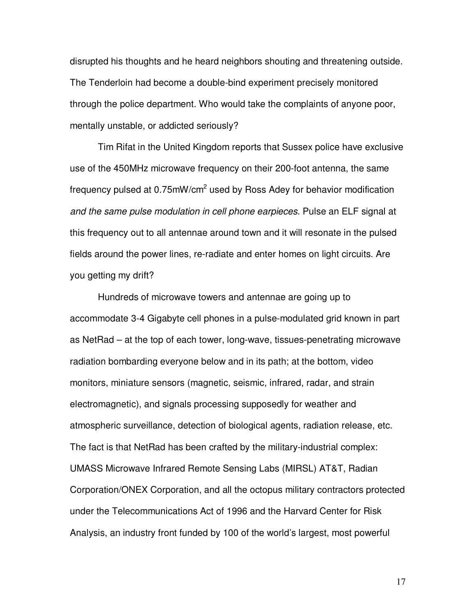disrupted his thoughts and he heard neighbors shouting and threatening outside. The Tenderloin had become a double-bind experiment precisely monitored through the police department. Who would take the complaints of anyone poor, mentally unstable, or addicted seriously?

 Tim Rifat in the United Kingdom reports that Sussex police have exclusive use of the 450MHz microwave frequency on their 200-foot antenna, the same frequency pulsed at 0.75mW/cm<sup>2</sup> used by Ross Adey for behavior modification *and the same pulse modulation in cell phone earpieces*. Pulse an ELF signal at this frequency out to all antennae around town and it will resonate in the pulsed fields around the power lines, re-radiate and enter homes on light circuits. Are you getting my drift?

 Hundreds of microwave towers and antennae are going up to accommodate 3-4 Gigabyte cell phones in a pulse-modulated grid known in part as NetRad – at the top of each tower, long-wave, tissues-penetrating microwave radiation bombarding everyone below and in its path; at the bottom, video monitors, miniature sensors (magnetic, seismic, infrared, radar, and strain electromagnetic), and signals processing supposedly for weather and atmospheric surveillance, detection of biological agents, radiation release, etc. The fact is that NetRad has been crafted by the military-industrial complex: UMASS Microwave Infrared Remote Sensing Labs (MIRSL) AT&T, Radian Corporation/ONEX Corporation, and all the octopus military contractors protected under the Telecommunications Act of 1996 and the Harvard Center for Risk Analysis, an industry front funded by 100 of the world's largest, most powerful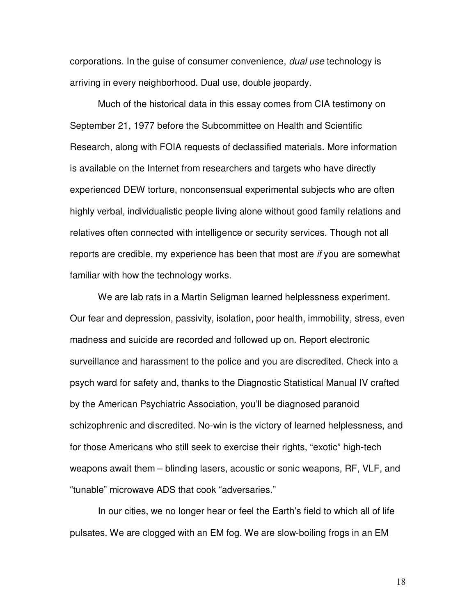corporations. In the guise of consumer convenience, *dual use* technology is arriving in every neighborhood. Dual use, double jeopardy.

 Much of the historical data in this essay comes from CIA testimony on September 21, 1977 before the Subcommittee on Health and Scientific Research, along with FOIA requests of declassified materials. More information is available on the Internet from researchers and targets who have directly experienced DEW torture, nonconsensual experimental subjects who are often highly verbal, individualistic people living alone without good family relations and relatives often connected with intelligence or security services. Though not all reports are credible, my experience has been that most are *if* you are somewhat familiar with how the technology works.

 We are lab rats in a Martin Seligman learned helplessness experiment. Our fear and depression, passivity, isolation, poor health, immobility, stress, even madness and suicide are recorded and followed up on. Report electronic surveillance and harassment to the police and you are discredited. Check into a psych ward for safety and, thanks to the Diagnostic Statistical Manual IV crafted by the American Psychiatric Association, you'll be diagnosed paranoid schizophrenic and discredited. No-win is the victory of learned helplessness, and for those Americans who still seek to exercise their rights, "exotic" high-tech weapons await them – blinding lasers, acoustic or sonic weapons, RF, VLF, and "tunable" microwave ADS that cook "adversaries."

 In our cities, we no longer hear or feel the Earth's field to which all of life pulsates. We are clogged with an EM fog. We are slow-boiling frogs in an EM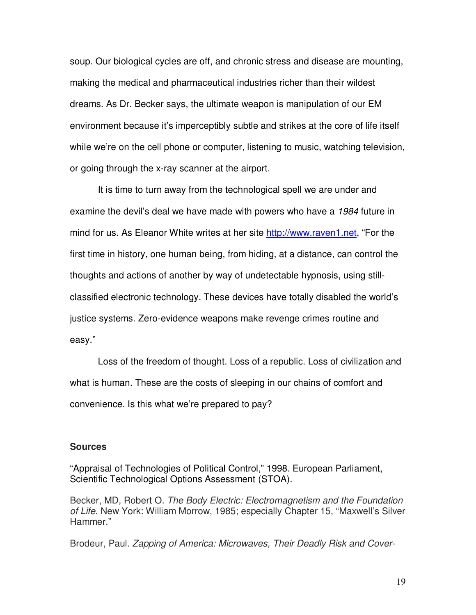soup. Our biological cycles are off, and chronic stress and disease are mounting, making the medical and pharmaceutical industries richer than their wildest dreams. As Dr. Becker says, the ultimate weapon is manipulation of our EM environment because it's imperceptibly subtle and strikes at the core of life itself while we're on the cell phone or computer, listening to music, watching television, or going through the x-ray scanner at the airport.

 It is time to turn away from the technological spell we are under and examine the devil's deal we have made with powers who have a *1984* future in mind for us. As Eleanor White writes at her site http://www.raven1.net, "For the first time in history, one human being, from hiding, at a distance, can control the thoughts and actions of another by way of undetectable hypnosis, using stillclassified electronic technology. These devices have totally disabled the world's justice systems. Zero-evidence weapons make revenge crimes routine and easy."

 Loss of the freedom of thought. Loss of a republic. Loss of civilization and what is human. These are the costs of sleeping in our chains of comfort and convenience. Is this what we're prepared to pay?

#### **Sources**

"Appraisal of Technologies of Political Control," 1998. European Parliament, Scientific Technological Options Assessment (STOA).

Becker, MD, Robert O. *The Body Electric: Electromagnetism and the Foundation of Life*. New York: William Morrow, 1985; especially Chapter 15, "Maxwell's Silver Hammer."

Brodeur, Paul. *Zapping of America: Microwaves, Their Deadly Risk and Cover-*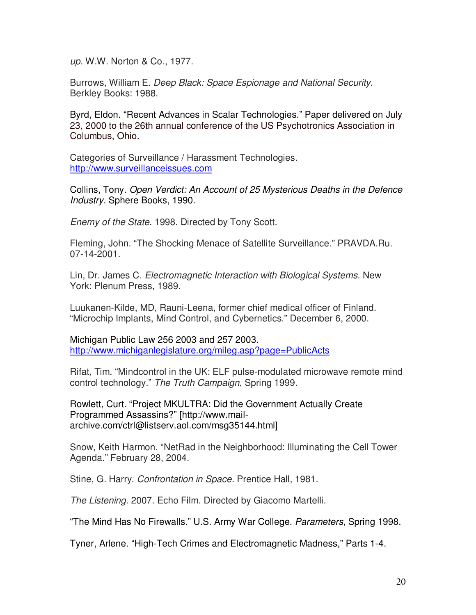*up.* W.W. Norton & Co., 1977.

Burrows, William E. *Deep Black: Space Espionage and National Security.* Berkley Books: 1988.

Byrd, Eldon. "Recent Advances in Scalar Technologies." Paper delivered on July 23, 2000 to the 26th annual conference of the US Psychotronics Association in Columbus, Ohio.

Categories of Surveillance / Harassment Technologies. http://www.surveillanceissues.com

Collins, Tony. *Open Verdict: An Account of 25 Mysterious Deaths in the Defence Industry.* Sphere Books, 1990.

*Enemy of the State*. 1998. Directed by Tony Scott.

Fleming, John. "The Shocking Menace of Satellite Surveillance." PRAVDA.Ru. 07-14-2001.

Lin, Dr. James C. *Electromagnetic Interaction with Biological Systems.* New York: Plenum Press, 1989.

Luukanen-Kilde, MD, Rauni-Leena, former chief medical officer of Finland. "Microchip Implants, Mind Control, and Cybernetics." December 6, 2000.

Michigan Public Law 256 2003 and 257 2003. http://www.michiganlegislature.org/mileg.asp?page=PublicActs

Rifat, Tim. "Mindcontrol in the UK: ELF pulse-modulated microwave remote mind control technology." *The Truth Campaign*, Spring 1999.

Rowlett, Curt. "Project MKULTRA: Did the Government Actually Create Programmed Assassins?" [http://www.mailarchive.com/ctrl@listserv.aol.com/msg35144.html]

Snow, Keith Harmon. "NetRad in the Neighborhood: Illuminating the Cell Tower Agenda." February 28, 2004.

Stine, G. Harry. *Confrontation in Space.* Prentice Hall, 1981.

*The Listening.* 2007. Echo Film. Directed by Giacomo Martelli.

"The Mind Has No Firewalls." U.S. Army War College. *Parameters*, Spring 1998.

Tyner, Arlene. "High-Tech Crimes and Electromagnetic Madness," Parts 1-4.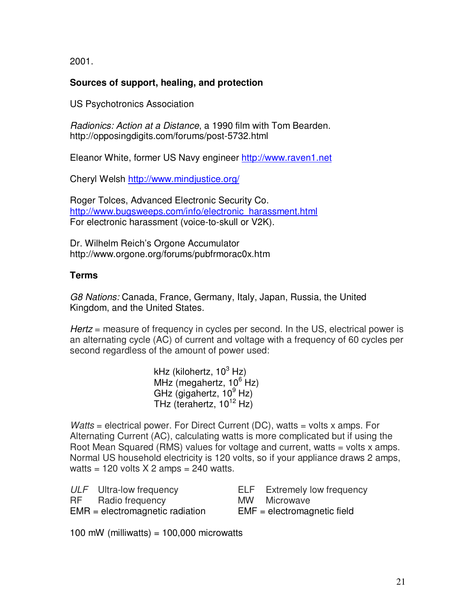2001.

## **Sources of support, healing, and protection**

US Psychotronics Association

*Radionics: Action at a Distance*, a 1990 film with Tom Bearden. http://opposingdigits.com/forums/post-5732.html

Eleanor White, former US Navy engineer http://www.raven1.net

Cheryl Welsh http://www.mindjustice.org/

Roger Tolces, Advanced Electronic Security Co. http://www.bugsweeps.com/info/electronic\_harassment.html For electronic harassment (voice-to-skull or V2K).

Dr. Wilhelm Reich's Orgone Accumulator http://www.orgone.org/forums/pubfrmorac0x.htm

## **Terms**

*G8 Nations:* Canada, France, Germany, Italy, Japan, Russia, the United Kingdom, and the United States.

*Hertz* = measure of frequency in cycles per second. In the US, electrical power is an alternating cycle (AC) of current and voltage with a frequency of 60 cycles per second regardless of the amount of power used:

> kHz (kilohertz, 10<sup>3</sup> Hz) MHz (megahertz, 10<sup>6</sup> Hz) GHz (gigahertz,  $10^9$  Hz) THz (terahertz,  $10^{12}$  Hz)

*Watts* = electrical power. For Direct Current (DC), watts = volts x amps. For Alternating Current (AC), calculating watts is more complicated but if using the Root Mean Squared (RMS) values for voltage and current, watts  $=$  volts x amps. Normal US household electricity is 120 volts, so if your appliance draws 2 amps, watts = 120 volts  $X$  2 amps = 240 watts.

| ULF Ultra-low frequency           | <b>ELF</b> Extremely low frequency |
|-----------------------------------|------------------------------------|
| RF Radio frequency                | MW Microwave                       |
| $EMR = electromagnetic radiation$ | $EMF =$ electromagnetic field      |

100 mW (milliwatts) =  $100,000$  microwatts